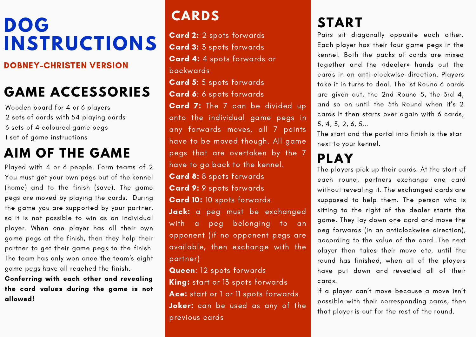# **DOG INSTRUCTIONS**

#### DOBNEY-CHRISTEN VERSION

## **GAME ACCESSORIES**

Wooden board for 4 or 6 players sets of cards with 54 playing cards sets of 4 coloured game pegs set of game instructions

#### **AIM OF THE GAME**

Played with 4 or 6 people. Form teams of 2 You must get your own pegs out of the kennel (home) and to the finish (save). The game pegs are moved by playing the cards. During the game you are supported by your partner, so it is not possible to win as an individual player. When one player has all their own game pegs at the finish, then they help their partner to get their game pegs to the finish. The team has only won once the team's eight game pegs have all reached the finish.

Conferring with each other and revealing the card values during the game is not allowed!

#### **CARDS**

Card 2: 2 spots forwards Card 3: 3 spots forwards Card 4: 4 spots forwards or backwards Card 5: 5 spots forwards Card 6: 6 spots forwards Card 7: The 7 can be divided up onto the individual game pegs in any forwards moves, all 7 points have to be moved though. All game pegs that are overtaken by the 7 have to go back to the kennel. Card 8: 8 spots forwards Card 9: 9 spots forwards Card 10: 10 spots forwards Jack: a peg must be exchanged with a peg belonging to an opponent (if no opponent pegs are available, then exchange with the partner)

Queen: 12 spots forwards King: start or 13 spots forwards Ace: start or 1 or 11 spots forwards Joker: can be used as any of the previous cards

## **START**

Pairs sit diagonally opposite each other. Each player has their four game pegs in the kennel. Both the packs of cards are mixed together and the «dealer» hands out the cards in an anti-clockwise direction. Players take it in turns to deal. The 1st Round 6 cards are given out, the 2nd Round 5, the 3rd 4, and so on until the 5th Round when it's 2 cards It then starts over again with 6 cards, 5, 4, 3, 2, 6, 5...

The start and the portal into finish is the star next to your kennel.

### **PLAY**

The players pick up their cards. At the start of each round, partners exchange one card without revealing it. The exchanged cards are supposed to help them. The person who is sitting to the right of the dealer starts the game. They lay down one card and move the peg forwards (in an anticlockwise direction), according to the value of the card. The next player then takes their move etc. until the round has finished, when all of the players have put down and revealed all of their cards.

If a player can't move because a move isn't possible with their corresponding cards, then that player is out for the rest of the round.